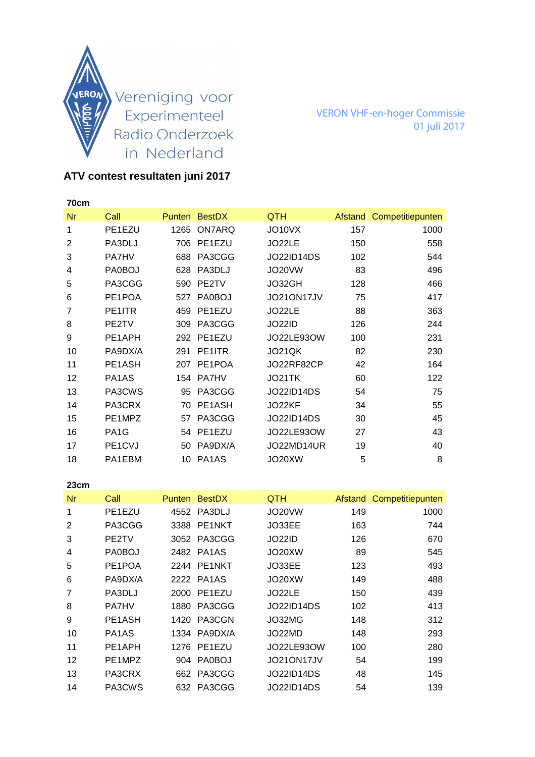

VERON VHF-en-hoger Commissie 01 juli 2017

## **ATV contest resultaten juni 2017**

| 70cm |                   |      |               |                   |         |                  |
|------|-------------------|------|---------------|-------------------|---------|------------------|
| Nr   | Call              |      | Punten BestDX | <b>QTH</b>        | Afstand | Competitiepunten |
| 1    | PE1EZU            | 1265 | ON7ARQ        | JO10VX            | 157     | 1000             |
| 2    | PA3DLJ            | 706  | PE1EZU        | JO22LE            | 150     | 558              |
| 3    | <b>PA7HV</b>      | 688  | PA3CGG        | <b>JO22ID14DS</b> | 102     | 544              |
| 4    | PA0BOJ            | 628  | PA3DLJ        | JO20VW            | 83      | 496              |
| 5    | PA3CGG            | 590  | PE2TV         | JO32GH            | 128     | 466              |
| 6    | PE1POA            | 527  | <b>PA0BOJ</b> | JO21ON17JV        | 75      | 417              |
| 7    | PE1ITR            | 459  | PE1EZU        | JO22LE            | 88      | 363              |
| 8    | PE2TV             | 309  | PA3CGG        | <b>JO22ID</b>     | 126     | 244              |
| 9    | PE1APH            | 292  | PE1EZU        | <b>JO22LE93OW</b> | 100     | 231              |
| 10   | PA9DX/A           | 291  | PE1ITR        | JO21QK            | 82      | 230              |
| 11   | PE1ASH            | 207  | PE1POA        | JO22RF82CP        | 42      | 164              |
| 12   | PA1AS             |      | 154 PA7HV     | JO21TK            | 60      | 122              |
| 13   | PA3CWS            | 95   | PA3CGG        | <b>JO22ID14DS</b> | 54      | 75               |
| 14   | PA3CRX            | 70   | PE1ASH        | JO22KF            | 34      | 55               |
| 15   | PE1MPZ            | 57   | PA3CGG        | <b>JO22ID14DS</b> | 30      | 45               |
| 16   | PA <sub>1</sub> G |      | 54 PE1EZU     | <b>JO22LE93OW</b> | 27      | 43               |
| 17   | PE1CVJ            | 50   | PA9DX/A       | JO22MD14UR        | 19      | 40               |
| 18   | PA1EBM            | 10   | PA1AS         | JO20XW            | 5       | 8                |

**23cm**  Nr Call Punten BestDX QTH Afstand Competitiepunten 1 PE1EZU 4552 PA3DLJ JO20VW 149 1000 2 PA3CGG 3388 PE1NKT JO33EE 163 744 3 PE2TV 3052 PA3CGG JO22ID 126 670 4 PA0BOJ 2482 PA1AS JO20XW 89 545 5 PE1POA 2244 PE1NKT JO33EE 123 493 6 PA9DX/A 2222 PA1AS JO20XW 149 488 7 PA3DLJ 2000 PE1EZU JO22LE 150 439 8 PA7HV 1880 PA3CGG JO22ID14DS 102 413 9 PE1ASH 1420 PA3CGN JO32MG 148 312 10 PA1AS 1334 PA9DX/A JO22MD 148 293 11 PE1APH 1276 PE1EZU JO22LE93OW 100 280 12 PE1MPZ 904 PA0BOJ JO21ON17JV 54 199 13 PA3CRX 662 PA3CGG JO22ID14DS 48 145 14 PA3CWS 632 PA3CGG JO22ID14DS 54 139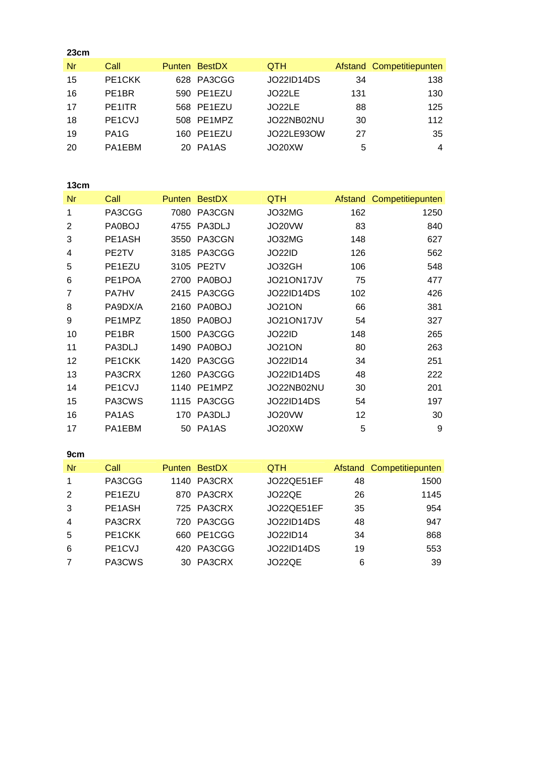| 23cm |                                  |               |                   |     |                          |
|------|----------------------------------|---------------|-------------------|-----|--------------------------|
| Nr   | Call                             | Punten BestDX | <b>QTH</b>        |     | Afstand Competitiepunten |
| 15   | PE <sub>1</sub> CKK              | 628 PA3CGG    | <b>JO22ID14DS</b> | 34  | 138                      |
| 16   | PE <sub>1</sub> BR               | 590 PE1EZU    | JO22LE            | 131 | 130                      |
| 17   | PE1ITR                           | 568 PE1EZU    | JO22LE            | 88  | 125                      |
| 18   | PE <sub>1</sub> C <sub>V</sub> J | 508 PE1MPZ    | JO22NB02NU        | 30  | 112                      |
| 19   | PA <sub>1</sub> G                | 160 PE1EZU    | JO22LE93OW        | 27  | 35                       |
| 20   | PA1EBM                           | 20 PA1AS      | JO20XW            | 5   | $\overline{4}$           |
|      |                                  |               |                   |     |                          |

### **13cm**

| <b>Nr</b>      | Call         |      | Punten BestDX | <b>QTH</b>    |     | Afstand Competitiepunten |
|----------------|--------------|------|---------------|---------------|-----|--------------------------|
| 1              | PA3CGG       | 7080 | PA3CGN        | JO32MG        | 162 | 1250                     |
| 2              | PA0BOJ       | 4755 | PA3DLJ        | JO20VW        | 83  | 840                      |
| 3              | PE1ASH       | 3550 | PA3CGN        | JO32MG        | 148 | 627                      |
| 4              | PE2TV        | 3185 | PA3CGG        | <b>JO22ID</b> | 126 | 562                      |
| 5              | PE1EZU       | 3105 | PE2TV         | JO32GH        | 106 | 548                      |
| 6              | PE1POA       | 2700 | <b>PA0BOJ</b> | JO21ON17JV    | 75  | 477                      |
| $\overline{7}$ | <b>PA7HV</b> | 2415 | PA3CGG        | JO22ID14DS    | 102 | 426                      |
| 8              | PA9DX/A      | 2160 | <b>PA0BOJ</b> | <b>JO21ON</b> | 66  | 381                      |
| 9              | PE1MPZ       | 1850 | <b>PA0BOJ</b> | JO21ON17JV    | 54  | 327                      |
| 10             | PE1BR        | 1500 | PA3CGG        | <b>JO22ID</b> | 148 | 265                      |
| 11             | PA3DLJ       | 1490 | <b>PA0BOJ</b> | <b>JO21ON</b> | 80  | 263                      |
| 12             | PE1CKK       | 1420 | PA3CGG        | JO22ID14      | 34  | 251                      |
| 13             | PA3CRX       | 1260 | PA3CGG        | JO22ID14DS    | 48  | 222                      |
| 14             | PE1CVJ       |      | 1140 PE1MPZ   | JO22NB02NU    | 30  | 201                      |
| 15             | PA3CWS       |      | 1115 PA3CGG   | JO22ID14DS    | 54  | 197                      |
| 16             | PA1AS        | 170  | PA3DLJ        | JO20VW        | 12  | 30                       |
| 17             | PA1EBM       |      | 50 PA1AS      | JO20XW        | 5   | 9                        |

#### **9cm**

| Nr             | Call                             | <b>Punten BestDX</b> | <b>QTH</b>        |    | Afstand Competitiepunten |
|----------------|----------------------------------|----------------------|-------------------|----|--------------------------|
| 1              | PA3CGG                           | 1140 PA3CRX          | JO22QE51EF        | 48 | 1500                     |
| 2              | PE1EZU                           | 870 PA3CRX           | JO22QE            | 26 | 1145                     |
| 3              | PE1ASH                           | 725 PA3CRX           | JO22QE51EF        | 35 | 954                      |
| $\overline{4}$ | PA3CRX                           | 720 PA3CGG           | <b>JO22ID14DS</b> | 48 | 947                      |
| -5             | PE <sub>1</sub> CKK              | 660 PE1CGG           | JO22ID14          | 34 | 868                      |
| 6              | PE <sub>1</sub> C <sub>V</sub> J | 420 PA3CGG           | <b>JO22ID14DS</b> | 19 | 553                      |
|                | PA3CWS                           | 30 PA3CRX            | <b>JO22QE</b>     | 6  | 39                       |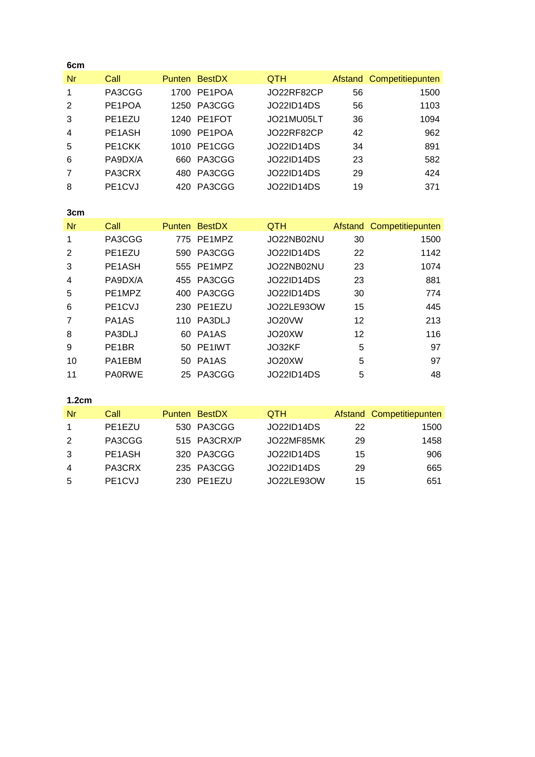| 6cm            |                                |               |                                |                   |         |                  |
|----------------|--------------------------------|---------------|--------------------------------|-------------------|---------|------------------|
| Nr             | Call                           |               | Punten BestDX                  | <b>QTH</b>        | Afstand | Competitiepunten |
| 1              | PA3CGG                         | 1700          | PE1POA                         | JO22RF82CP        | 56      | 1500             |
| 2              | PE1POA                         | 1250          | PA3CGG                         | <b>JO22ID14DS</b> | 56      | 1103             |
| 3              | PE1EZU                         | 1240          | PE1FOT                         | JO21MU05LT        | 36      | 1094             |
| 4              | PE1ASH                         | 1090          | PE1POA                         | JO22RF82CP        | 42      | 962              |
| 5              | PE1CKK                         | 1010          | PE1CGG                         | JO22ID14DS        | 34      | 891              |
| 6              | PA9DX/A                        | 660           | PA3CGG                         | <b>JO22ID14DS</b> | 23      | 582              |
| 7              | PA3CRX                         | 480           | PA3CGG                         | <b>JO22ID14DS</b> | 29      | 424              |
| 8              | PE1CVJ                         | 420           | PA3CGG                         | JO22ID14DS        | 19      | 371              |
|                |                                |               |                                |                   |         |                  |
| 3cm            |                                |               |                                |                   |         |                  |
|                |                                |               |                                |                   |         |                  |
| Nr             | Call                           | <b>Punten</b> | <b>BestDX</b>                  | <b>QTH</b>        | Afstand | Competitiepunten |
| 1              | PA3CGG                         | 775           | PE1MPZ                         | JO22NB02NU        | 30      | 1500             |
| $\overline{2}$ | PE1EZU                         | 590           | PA3CGG                         | <b>JO22ID14DS</b> | 22      | 1142             |
| 3              | PE1ASH                         | 555           | PE1MPZ                         | JO22NB02NU        | 23      | 1074             |
| 4              | PA9DX/A                        | 455           | PA3CGG                         | <b>JO22ID14DS</b> | 23      | 881              |
| 5              | PE1MPZ                         | 400           | PA3CGG                         | JO22ID14DS        | 30      | 774              |
| 6              | PE1CVJ                         | 230           | PE1EZU                         | JO22LE93OW        | 15      | 445              |
| 7              | PA <sub>1</sub> A <sub>S</sub> | 110           | PA3DLJ                         | <b>JO20VW</b>     | 12      | 213              |
| 8              | PA3DLJ                         | 60            | PA <sub>1</sub> A <sub>S</sub> | JO20XW            | 12      | 116              |
| 9              | PE <sub>1</sub> BR             | 50            | PE1IWT                         | JO32KF            | 5       | 97               |
| 10             | PA1EBM                         | 50            | PA <sub>1</sub> A <sub>S</sub> | JO20XW            | 5       | 97               |

## **1.2cm**

| /Nr | Call                             | Punten BestDX | <b>QTH</b>        |    | Afstand Competitiepunten |
|-----|----------------------------------|---------------|-------------------|----|--------------------------|
|     | PE1EZU                           | 530 PA3CGG    | <b>JO22ID14DS</b> | 22 | 1500                     |
| 2   | PA3CGG                           | 515 PA3CRX/P  | JO22MF85MK        | 29 | 1458                     |
| -3  | PE1ASH                           | 320 PA3CGG    | <b>JO22ID14DS</b> | 15 | 906                      |
| -4  | PA3CRX                           | 235 PA3CGG    | JO22ID14DS        | 29 | 665                      |
| -5  | PE <sub>1</sub> C <sub>V</sub> J | 230 PE1EZU    | JO22LE93OW        | 15 | 651                      |